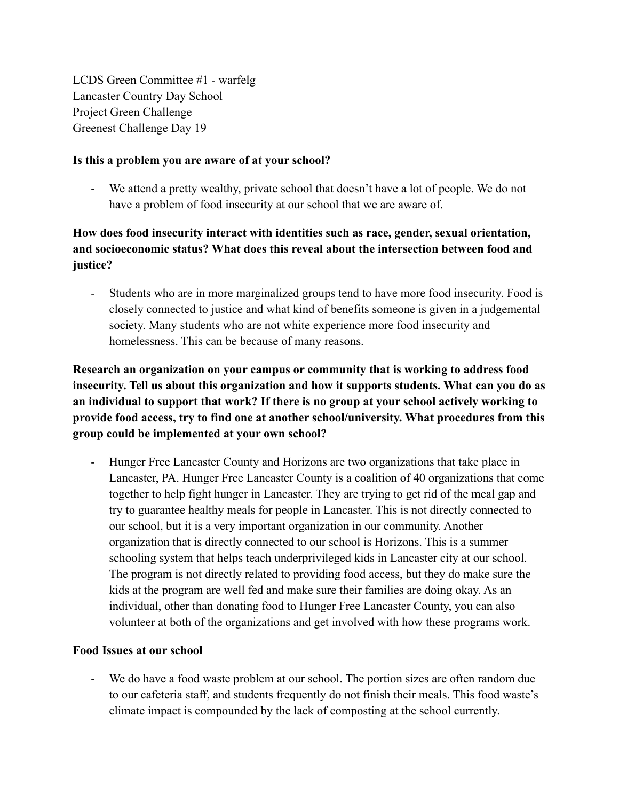LCDS Green Committee #1 - warfelg Lancaster Country Day School Project Green Challenge Greenest Challenge Day 19

## **Is this a problem you are aware of at your school?**

- We attend a pretty wealthy, private school that doesn't have a lot of people. We do not have a problem of food insecurity at our school that we are aware of.

# **How does food insecurity interact with identities such as race, gender, sexual orientation, and socioeconomic status? What does this reveal about the intersection between food and justice?**

- Students who are in more marginalized groups tend to have more food insecurity. Food is closely connected to justice and what kind of benefits someone is given in a judgemental society. Many students who are not white experience more food insecurity and homelessness. This can be because of many reasons.

**Research an organization on your campus or community that is working to address food insecurity. Tell us about this organization and how it supports students. What can you do as an individual to support that work? If there is no group at your school actively working to provide food access, try to find one at another school/university. What procedures from this group could be implemented at your own school?**

- Hunger Free Lancaster County and Horizons are two organizations that take place in Lancaster, PA. Hunger Free Lancaster County is a coalition of 40 organizations that come together to help fight hunger in Lancaster. They are trying to get rid of the meal gap and try to guarantee healthy meals for people in Lancaster. This is not directly connected to our school, but it is a very important organization in our community. Another organization that is directly connected to our school is Horizons. This is a summer schooling system that helps teach underprivileged kids in Lancaster city at our school. The program is not directly related to providing food access, but they do make sure the kids at the program are well fed and make sure their families are doing okay. As an individual, other than donating food to Hunger Free Lancaster County, you can also volunteer at both of the organizations and get involved with how these programs work.

## **Food Issues at our school**

- We do have a food waste problem at our school. The portion sizes are often random due to our cafeteria staff, and students frequently do not finish their meals. This food waste's climate impact is compounded by the lack of composting at the school currently.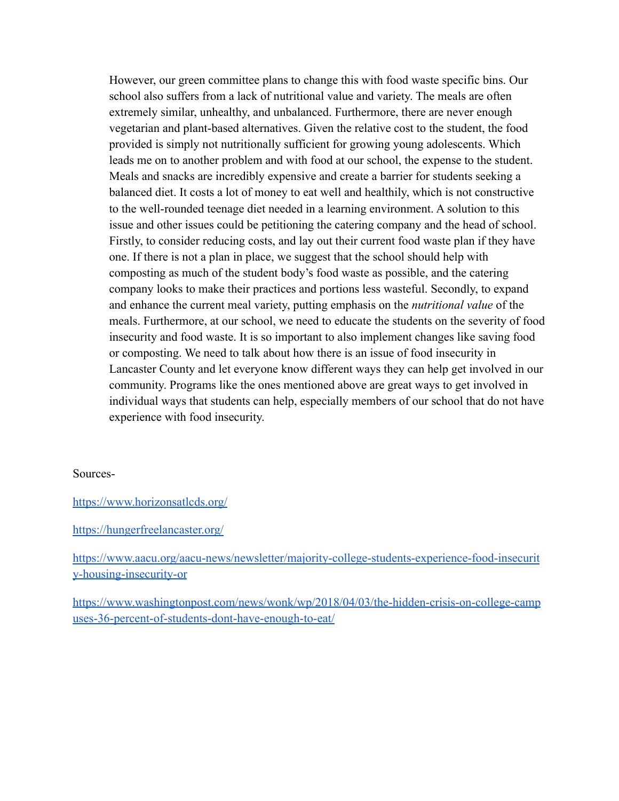However, our green committee plans to change this with food waste specific bins. Our school also suffers from a lack of nutritional value and variety. The meals are often extremely similar, unhealthy, and unbalanced. Furthermore, there are never enough vegetarian and plant-based alternatives. Given the relative cost to the student, the food provided is simply not nutritionally sufficient for growing young adolescents. Which leads me on to another problem and with food at our school, the expense to the student. Meals and snacks are incredibly expensive and create a barrier for students seeking a balanced diet. It costs a lot of money to eat well and healthily, which is not constructive to the well-rounded teenage diet needed in a learning environment. A solution to this issue and other issues could be petitioning the catering company and the head of school. Firstly, to consider reducing costs, and lay out their current food waste plan if they have one. If there is not a plan in place, we suggest that the school should help with composting as much of the student body's food waste as possible, and the catering company looks to make their practices and portions less wasteful. Secondly, to expand and enhance the current meal variety, putting emphasis on the *nutritional value* of the meals. Furthermore, at our school, we need to educate the students on the severity of food insecurity and food waste. It is so important to also implement changes like saving food or composting. We need to talk about how there is an issue of food insecurity in Lancaster County and let everyone know different ways they can help get involved in our community. Programs like the ones mentioned above are great ways to get involved in individual ways that students can help, especially members of our school that do not have experience with food insecurity.

#### Sources-

https://www.horizonsatlcds.org/

#### https://hungerfreelancaster.org/

https://www.aacu.org/aacu-news/newsletter/majority-college-students-experience-food-insecurit y-housing-insecurity-or

https://www.washingtonpost.com/news/wonk/wp/2018/04/03/the-hidden-crisis-on-college-camp uses-36-percent-of-students-dont-have-enough-to-eat/